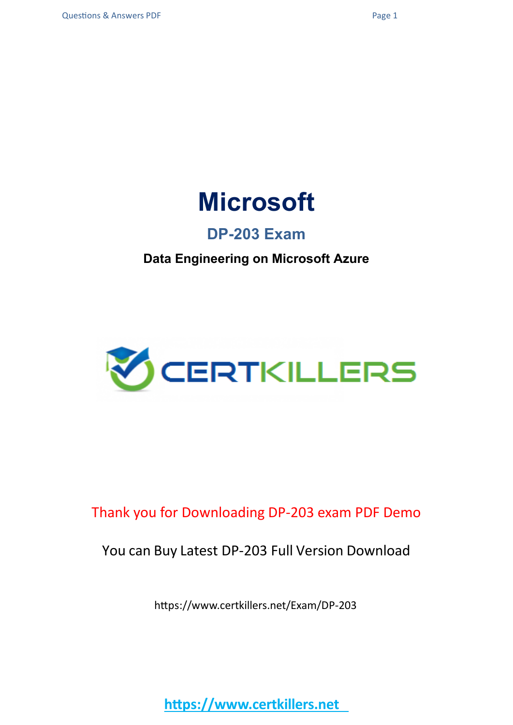

### **DP-203 Exam**

### **Data Engineering on Microsoft Azure**



### Thank you for Downloading DP-203 exam PDF Demo

### You can Buy Latest DP-203 Full Version Download

https://www.certkillers.net/Exam/DP-203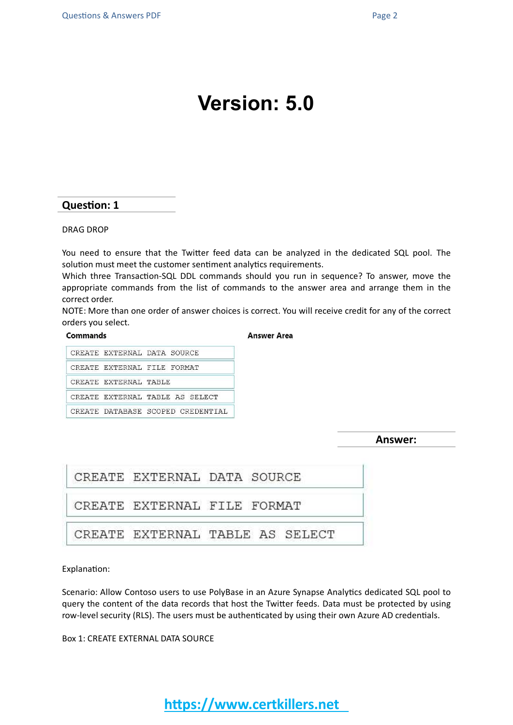## **Version: 5.0**

#### **Question: 1**

#### DRAG DROP

You need to ensure that the Twitter feed data can be analyzed in the dedicated SQL pool. The solution must meet the customer sentiment analytics requirements.

Which three Transaction-SQL DDL commands should you run in sequence? To answer, move the appropriate commands from the list of commands to the answer area and arrange them in the correct order.

NOTE: More than one order of answer choices is correct. You will receive credit for any of the correct orders you select.

#### Commands

**Answer Area** 

|                       | CREATE EXTERNAL DATA SOURCE       |
|-----------------------|-----------------------------------|
|                       | CREATE EXTERNAL FILE FORMAT       |
| CREATE EXTERNAL TABLE |                                   |
|                       | CREATE EXTERNAL TABLE AS SELECT   |
|                       | CREATE DATABASE SCOPED CREDENTIAL |

**Answer:**

| CREATE EXTERNAL DATA SOURCE |                                 |
|-----------------------------|---------------------------------|
| CREATE EXTERNAL FILE FORMAT |                                 |
|                             | CREATE EXTERNAL TABLE AS SELECT |

Explanation:

Scenario: Allow Contoso users to use PolyBase in an Azure Synapse Analytics dedicated SQL pool to query the content of the data records that host the Twitter feeds. Data must be protected by using row-level security (RLS). The users must be authenticated by using their own Azure AD credentials.

Box 1: CREATE EXTERNAL DATA SOURCE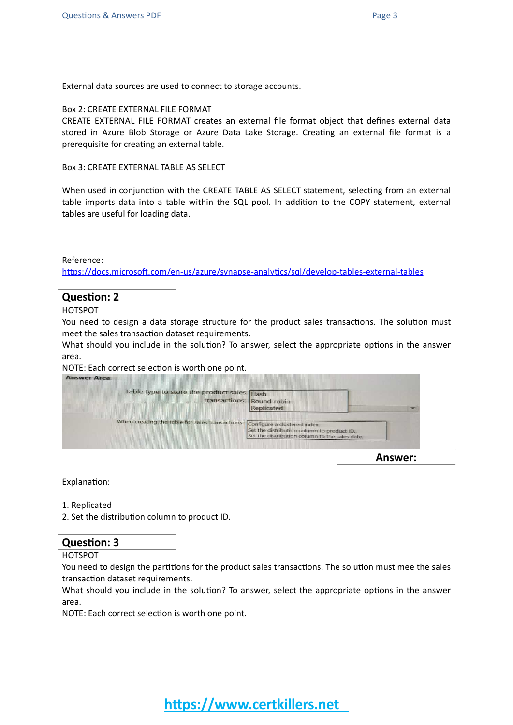External data sources are used to connect to storage accounts.

#### Box 2: CREATE EXTERNAL FILE FORMAT

CREATE EXTERNAL FILE FORMAT creates an external file format object that defines external data stored in Azure Blob Storage or Azure Data Lake Storage. Creating an external file format is a prerequisite for creating an external table.

Box 3: CREATE EXTERNAL TABLE AS SELECT

When used in conjunction with the CREATE TABLE AS SELECT statement, selecting from an external table imports data into a table within the SQL pool. In addition to the COPY statement, external tables are useful for loading data.

#### Reference:

<https://docs.microsoft.com/en-us/azure/synapse-analytics/sql/develop-tables-external-tables>

#### **Question: 2**

HOTSPOT

You need to design a data storage structure for the product sales transactions. The solution must meet the sales transaction dataset requirements.

What should you include in the solution? To answer, select the appropriate options in the answer area.

#### NOTE: Each correct selection is worth one point.

| Table type to store the product sales Hash                                   |                                                                                              |  |
|------------------------------------------------------------------------------|----------------------------------------------------------------------------------------------|--|
|                                                                              | transactions: Round-robin                                                                    |  |
|                                                                              | <b>Replicated</b>                                                                            |  |
|                                                                              |                                                                                              |  |
| When creating the table for sales transactions: Configure a clustered index. |                                                                                              |  |
|                                                                              | Set the distribution column to product ID.<br>Set the distribution column to the sales date. |  |
|                                                                              |                                                                                              |  |

**Answer:**

Explanation:

1. Replicated

2. Set the distribution column to product ID.

#### **Question: 3**

HOTSPOT

You need to design the partitions for the product sales transactions. The solution must mee the sales transaction dataset requirements.

What should you include in the solution? To answer, select the appropriate options in the answer area.

NOTE: Each correct selection is worth one point.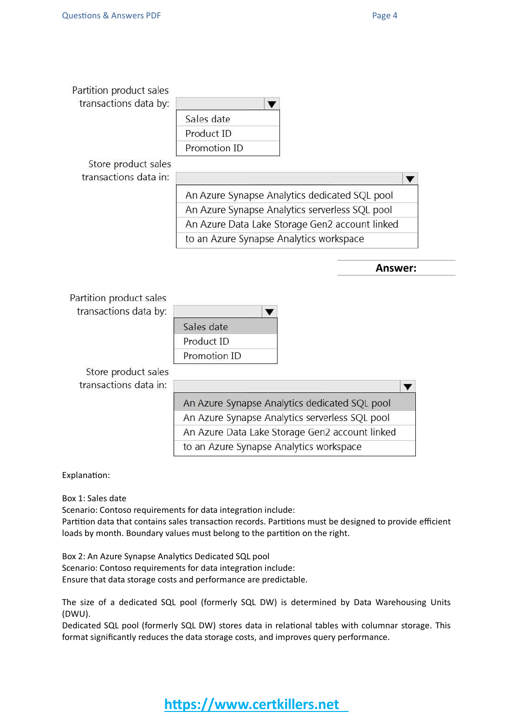| Sales date                                     |
|------------------------------------------------|
| Product ID                                     |
| Promotion ID                                   |
|                                                |
|                                                |
| An Azure Synapse Analytics dedicated SQL pool  |
| An Azure Synapse Analytics serverless SQL pool |
| An Azure Data Lake Storage Gen2 account linked |
| to an Azure Synapse Analytics workspace        |
|                                                |
|                                                |
|                                                |
| Sales date                                     |
| Product ID                                     |
| Promotion ID                                   |
|                                                |
|                                                |
| An Azure Synapse Analytics dedicated SQL pool  |
| An Azure Synapse Analytics serverless SQL pool |
| An Azure Data Lake Storage Gen2 account linked |
|                                                |

Explanation:

Box 1: Sales date

Scenario: Contoso requirements for data integration include: Partition data that contains sales transaction records. Partitions must be designed to provide efficient loads by month. Boundary values must belong to the partition on the right.

Box 2: An Azure Synapse Analytics Dedicated SQL pool Scenario: Contoso requirements for data integration include: Ensure that data storage costs and performance are predictable.

The size of a dedicated SQL pool (formerly SQL DW) is determined by Data Warehousing Units (DWU).

Dedicated SQL pool (formerly SQL DW) stores data in relational tables with columnar storage. This format significantly reduces the data storage costs, and improves query performance.

**https://www.certkillers.net**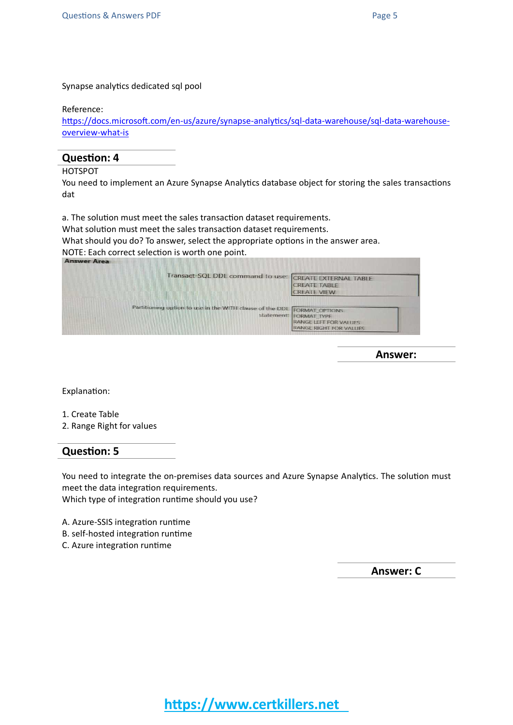Synapse analytics dedicated sql pool

#### Reference:

[https://docs.microsoft.com/en-us/azure/synapse-analytics/sql-data-warehouse/sql-data-warehouse](https://docs.microsoft.com/en-us/azure/synapse-analytics/sql-data-warehouse/sql-data-warehouse-overview-what-is)[overview-what-is](https://docs.microsoft.com/en-us/azure/synapse-analytics/sql-data-warehouse/sql-data-warehouse-overview-what-is)

#### **Question: 4**

HOTSPOT

You need to implement an Azure Synapse Analytics database object for storing the sales transactions dat

a. The solution must meet the sales transaction dataset requirements.

What solution must meet the sales transaction dataset requirements.

What should you do? To answer, select the appropriate options in the answer area. NOTE: Each correct selection is worth one point.

| Transact-SQL DDL command to use: CREATE EXTERNAL TABLE                  | <b>CREATE TABLE</b><br><b>CREATE VIEW</b>                                 |
|-------------------------------------------------------------------------|---------------------------------------------------------------------------|
| Partitioning option to use in the WITH clause of the DDL FORMAT OPTIONS | statement: FORMAT TYPE<br>RANGE LEFT FOR VALUES<br>RANGE RIGHT FOR VALUES |

**Answer:**

Explanation:

1. Create Table

2. Range Right for values

#### **Question: 5**

You need to integrate the on-premises data sources and Azure Synapse Analytics. The solution must meet the data integration requirements.

Which type of integration runtime should you use?

A. Azure-SSIS integration runtime B. self-hosted integration runtime C. Azure integration runtime

**Answer: C**

**https://www.certkillers.net**